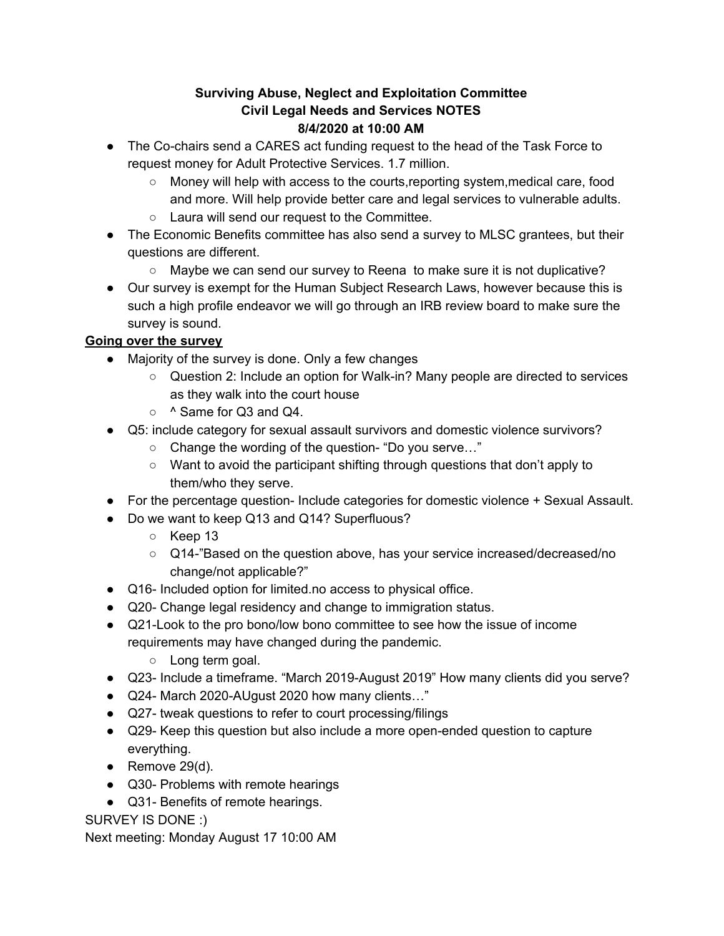## **Surviving Abuse, Neglect and Exploitation Committee Civil Legal Needs and Services NOTES 8/4/2020 at 10:00 AM**

- The Co-chairs send a CARES act funding request to the head of the Task Force to request money for Adult Protective Services. 1.7 million.
	- Money will help with access to the courts,reporting system,medical care, food and more. Will help provide better care and legal services to vulnerable adults.
	- Laura will send our request to the Committee.
- The Economic Benefits committee has also send a survey to MLSC grantees, but their questions are different.
	- Maybe we can send our survey to Reena to make sure it is not duplicative?
- Our survey is exempt for the Human Subject Research Laws, however because this is such a high profile endeavor we will go through an IRB review board to make sure the survey is sound.

## **Going over the survey**

- Majority of the survey is done. Only a few changes
	- Question 2: Include an option for Walk-in? Many people are directed to services as they walk into the court house
	- ^ Same for Q3 and Q4.
- Q5: include category for sexual assault survivors and domestic violence survivors?
	- Change the wording of the question- "Do you serve…"
	- Want to avoid the participant shifting through questions that don't apply to them/who they serve.
- For the percentage question- Include categories for domestic violence + Sexual Assault.
- Do we want to keep Q13 and Q14? Superfluous?
	- Keep 13
	- Q14-"Based on the question above, has your service increased/decreased/no change/not applicable?"
- Q16- Included option for limited.no access to physical office.
- Q20- Change legal residency and change to immigration status.
- Q21-Look to the pro bono/low bono committee to see how the issue of income requirements may have changed during the pandemic.
	- Long term goal.
- Q23- Include a timeframe. "March 2019-August 2019" How many clients did you serve?
- Q24- March 2020-AUgust 2020 how many clients…"
- Q27- tweak questions to refer to court processing/filings
- Q29- Keep this question but also include a more open-ended question to capture everything.
- $\bullet$  Remove 29(d).
- Q30- Problems with remote hearings
- Q31- Benefits of remote hearings.

## SURVEY IS DONE :)

Next meeting: Monday August 17 10:00 AM